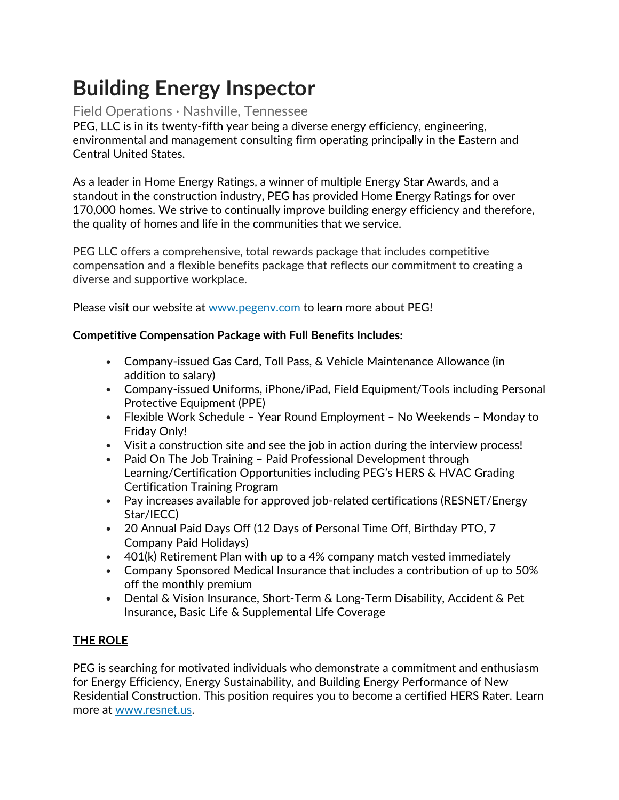# **Building Energy Inspector**

# Field Operations · Nashville, Tennessee

PEG, LLC is in its twenty-fifth year being a diverse energy efficiency, engineering, environmental and management consulting firm operating principally in the Eastern and Central United States.

As a leader in Home Energy Ratings, a winner of multiple Energy Star Awards, and a standout in the construction industry, PEG has provided Home Energy Ratings for over 170,000 homes. We strive to continually improve building energy efficiency and therefore, the quality of homes and life in the communities that we service.

PEG LLC offers a comprehensive, total rewards package that includes competitive compensation and a flexible benefits package that reflects our commitment to creating a diverse and supportive workplace.

Please visit our website at [www.pegenv.com](http://www.pegenv.com/) to learn more about PEG!

## **Competitive Compensation Package with Full Benefits Includes:**

- Company-issued Gas Card, Toll Pass, & Vehicle Maintenance Allowance (in addition to salary)
- Company-issued Uniforms, iPhone/iPad, Field Equipment/Tools including Personal Protective Equipment (PPE)
- Flexible Work Schedule Year Round Employment No Weekends Monday to Friday Only!
- Visit a construction site and see the job in action during the interview process!
- Paid On The Job Training Paid Professional Development through Learning/Certification Opportunities including PEG's HERS & HVAC Grading Certification Training Program
- Pay increases available for approved job-related certifications (RESNET/Energy Star/IECC)
- 20 Annual Paid Days Off (12 Days of Personal Time Off, Birthday PTO, 7 Company Paid Holidays)
- 401(k) Retirement Plan with up to a 4% company match vested immediately
- Company Sponsored Medical Insurance that includes a contribution of up to 50% off the monthly premium
- Dental & Vision Insurance, Short-Term & Long-Term Disability, Accident & Pet Insurance, Basic Life & Supplemental Life Coverage

# **THE ROLE**

PEG is searching for motivated individuals who demonstrate a commitment and enthusiasm for Energy Efficiency, Energy Sustainability, and Building Energy Performance of New Residential Construction. This position requires you to become a certified HERS Rater. Learn more at [www.resnet.us.](http://www.resnet.com/)